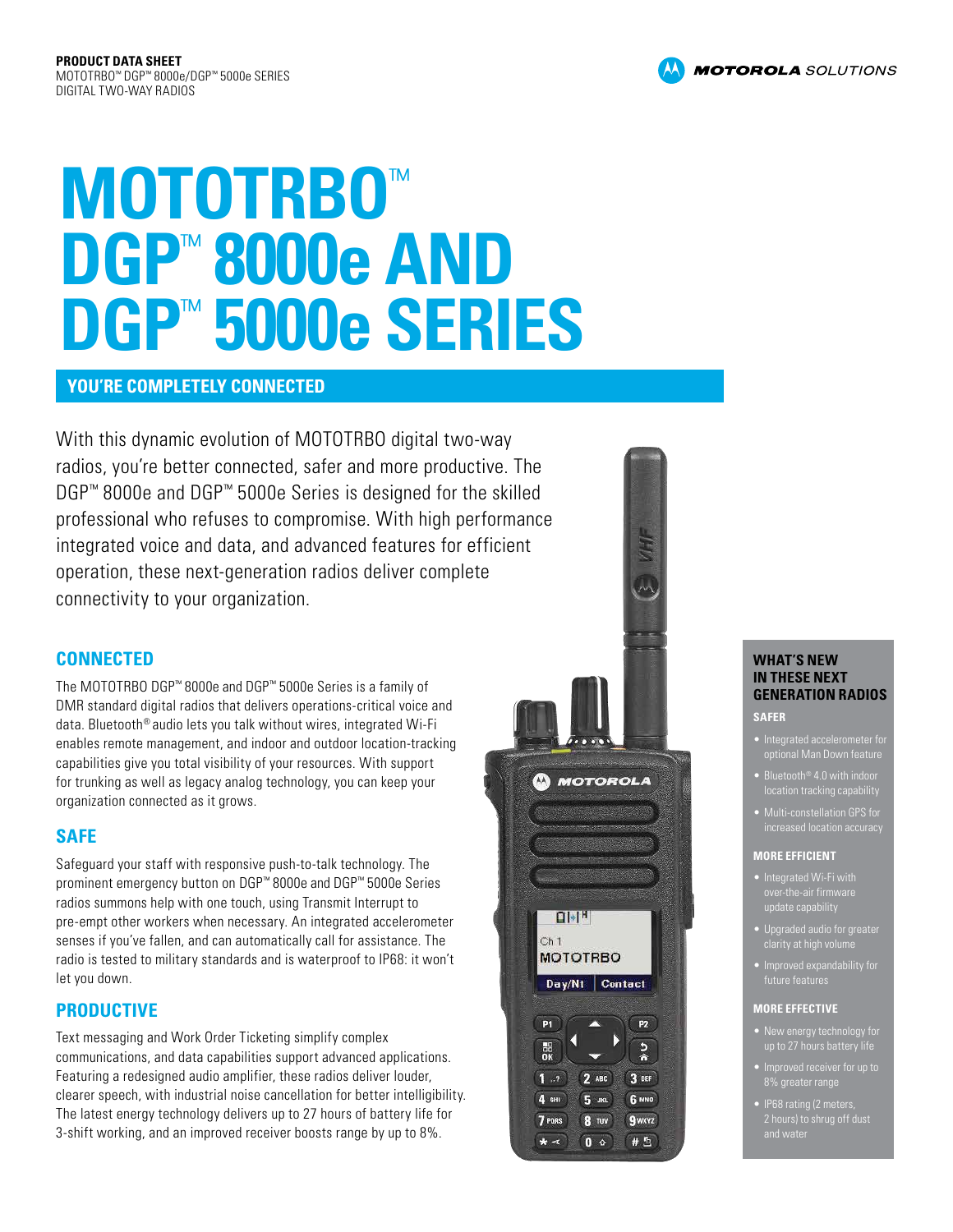# **MOTOTRBO**™ **DGP**™ **8000e AND DGP**™ **5000e SERIES**

# **YOU'RE COMPLETELY CONNECTED**

With this dynamic evolution of MOTOTRBO digital two-way radios, you're better connected, safer and more productive. The DGP™ 8000e and DGP™ 5000e Series is designed for the skilled professional who refuses to compromise. With high performance integrated voice and data, and advanced features for efficient operation, these next-generation radios deliver complete connectivity to your organization.

# **CONNECTED**

The MOTOTRBO DGP™ 8000e and DGP™ 5000e Series is a family of DMR standard digital radios that delivers operations-critical voice and data. Bluetooth® audio lets you talk without wires, integrated Wi-Fi enables remote management, and indoor and outdoor location-tracking capabilities give you total visibility of your resources. With support for trunking as well as legacy analog technology, you can keep your organization connected as it grows.

# **SAFE**

Safeguard your staff with responsive push-to-talk technology. The prominent emergency button on DGP™ 8000e and DGP™ 5000e Series radios summons help with one touch, using Transmit Interrupt to pre-empt other workers when necessary. An integrated accelerometer senses if you've fallen, and can automatically call for assistance. The radio is tested to military standards and is waterproof to IP68: it won't let you down.

# **PRODUCTIVE**

Text messaging and Work Order Ticketing simplify complex communications, and data capabilities support advanced applications. Featuring a redesigned audio amplifier, these radios deliver louder, clearer speech, with industrial noise cancellation for better intelligibility. The latest energy technology delivers up to 27 hours of battery life for 3-shift working, and an improved receiver boosts range by up to 8%.



## **WHAT'S NEW IN THESE NEXT GENERATION RADIOS**

#### **SAFER**

- Integrated accelerometer for optional Man Down feature
- Bluetooth® 4.0 with indoor location tracking capability
- **increased location accuracy**

#### **MORE EFFICIENT**

- Integrated Wi-Fi with update capability
- 
- future features

#### **MORE EFFECTIVE**

- New energy technology for
- 8% greater range
- IP68 rating (2 meters

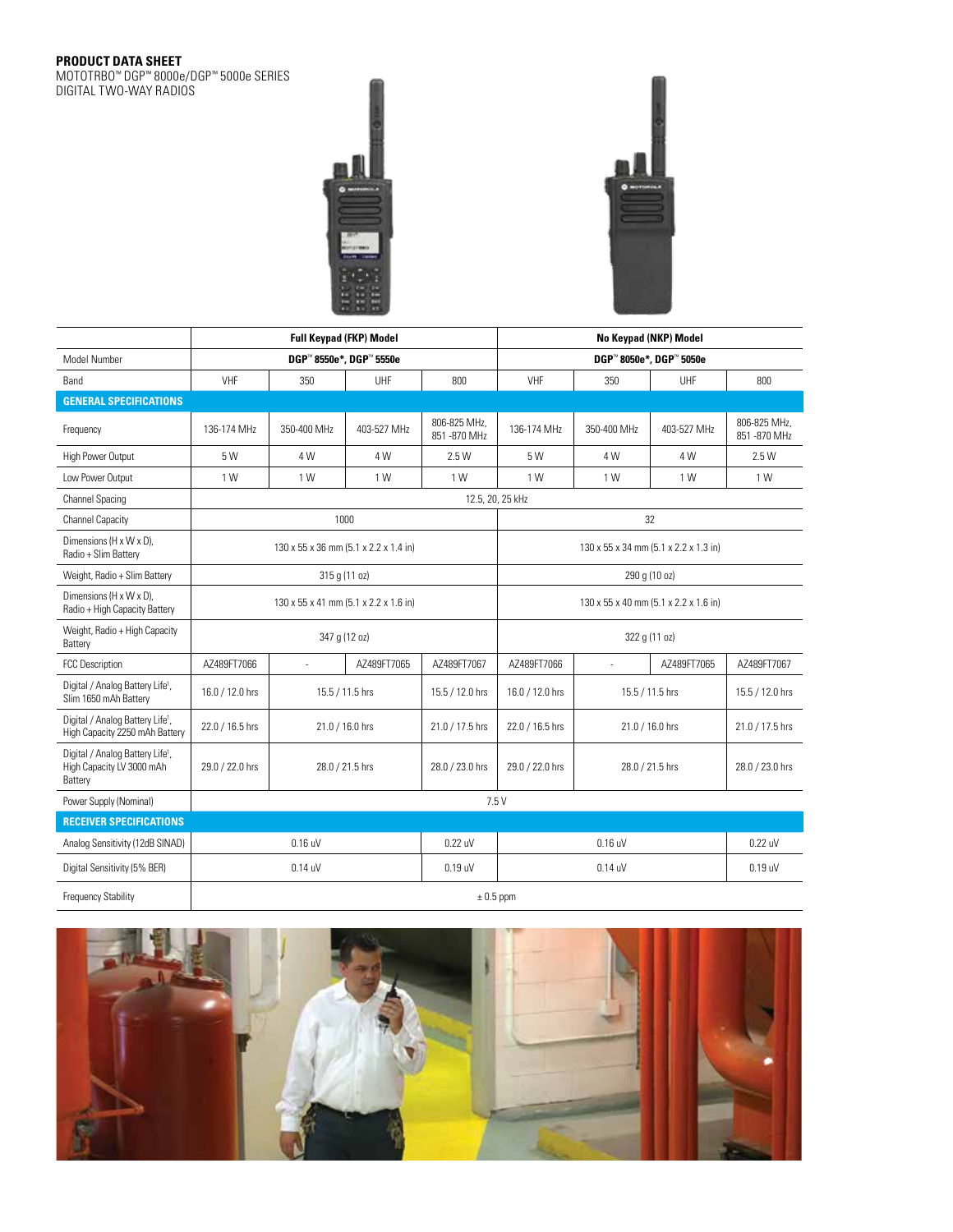#### **PRODUCT DATA SHEET**

MOTOTRBO™ DGP™ 8000e/DGP™ 5000e SERIES DIGITAL TWO-WAY RADIOS



|                                                                                      | <b>Full Keypad (FKP) Model</b>        |                 |                 |                               | No Keypad (NKP) Model                 |                 |             |                               |  |
|--------------------------------------------------------------------------------------|---------------------------------------|-----------------|-----------------|-------------------------------|---------------------------------------|-----------------|-------------|-------------------------------|--|
| Model Number                                                                         | DGP™8550e*, DGP™5550e                 |                 |                 |                               | DGP™8050e*, DGP™5050e                 |                 |             |                               |  |
| Band                                                                                 | VHF<br>350<br>UHF                     |                 |                 | 800                           | VHF                                   | 350             | UHF         | 800                           |  |
| <b>GENERAL SPECIFICATIONS</b>                                                        |                                       |                 |                 |                               |                                       |                 |             |                               |  |
| Frequency                                                                            | 136-174 MHz                           | 350-400 MHz     | 403-527 MHz     | 806-825 MHz,<br>851 - 870 MHz | 136-174 MHz                           | 350-400 MHz     | 403-527 MHz | 806-825 MHz.<br>851 - 870 MHz |  |
| High Power Output                                                                    | 5 W                                   | 4 W             | 4 W             | 2.5 W                         | 5 W                                   | 4 W             | 4 W         | 2.5 W                         |  |
| Low Power Output                                                                     | 1 W                                   | 1 W             | 1 W             | 1 W                           | 1 W                                   | 1 W             | 1 W         | 1 W                           |  |
| <b>Channel Spacing</b>                                                               | 12.5, 20, 25 kHz                      |                 |                 |                               |                                       |                 |             |                               |  |
| <b>Channel Capacity</b>                                                              | 1000                                  |                 |                 |                               | 32                                    |                 |             |                               |  |
| Dimensions (H x W x D),<br>Radio + Slim Battery                                      | 130 x 55 x 36 mm (5.1 x 2.2 x 1.4 in) |                 |                 |                               | 130 x 55 x 34 mm (5.1 x 2.2 x 1.3 in) |                 |             |                               |  |
| Weight, Radio + Slim Battery                                                         | 315 g (11 oz)                         |                 |                 |                               | 290 g (10 oz)                         |                 |             |                               |  |
| Dimensions (H x W x D),<br>Radio + High Capacity Battery                             | 130 x 55 x 41 mm (5.1 x 2.2 x 1.6 in) |                 |                 |                               | 130 x 55 x 40 mm (5.1 x 2.2 x 1.6 in) |                 |             |                               |  |
| Weight, Radio + High Capacity<br>Battery                                             | 347 g (12 oz)                         |                 |                 |                               | 322 g (11 oz)                         |                 |             |                               |  |
| <b>FCC Description</b>                                                               | AZ489FT7066                           | ÷.              | AZ489FT7065     | AZ489FT7067                   | AZ489FT7066                           | ÷.              | AZ489FT7065 | AZ489FT7067                   |  |
| Digital / Analog Battery Life <sup>1</sup> ,<br>Slim 1650 mAh Battery                | 16.0 / 12.0 hrs                       | 15.5 / 11.5 hrs |                 | 15.5 / 12.0 hrs               | 16.0 / 12.0 hrs                       | 15.5 / 11.5 hrs |             | 15.5 / 12.0 hrs               |  |
| Digital / Analog Battery Life <sup>1</sup> ,<br>High Capacity 2250 mAh Battery       | 22.0 / 16.5 hrs                       |                 | 21.0 / 16.0 hrs | 21.0 / 17.5 hrs               | 22.0 / 16.5 hrs                       | 21.0 / 16.0 hrs |             | 21.0 / 17.5 hrs               |  |
| Digital / Analog Battery Life <sup>1</sup> ,<br>High Capacity LV 3000 mAh<br>Battery | 29.0 / 22.0 hrs                       |                 | 28.0 / 21.5 hrs | 28.0 / 23.0 hrs               | 29.0 / 22.0 hrs                       | 28.0 / 21.5 hrs |             | 28.0 / 23.0 hrs               |  |
| Power Supply (Nominal)                                                               | 7.5V                                  |                 |                 |                               |                                       |                 |             |                               |  |
| <b>RECEIVER SPECIFICATIONS</b>                                                       |                                       |                 |                 |                               |                                       |                 |             |                               |  |
| Analog Sensitivity (12dB SINAD)                                                      | $0.16$ uV                             |                 |                 | 0.22 uV                       | $0.16$ uV                             |                 |             | 0.22 uV                       |  |
| Digital Sensitivity (5% BER)                                                         | $0.14$ uV<br>$0.19$ uV                |                 |                 |                               |                                       | $0.19$ uV       |             |                               |  |
| <b>Frequency Stability</b>                                                           | $\pm$ 0.5 ppm                         |                 |                 |                               |                                       |                 |             |                               |  |

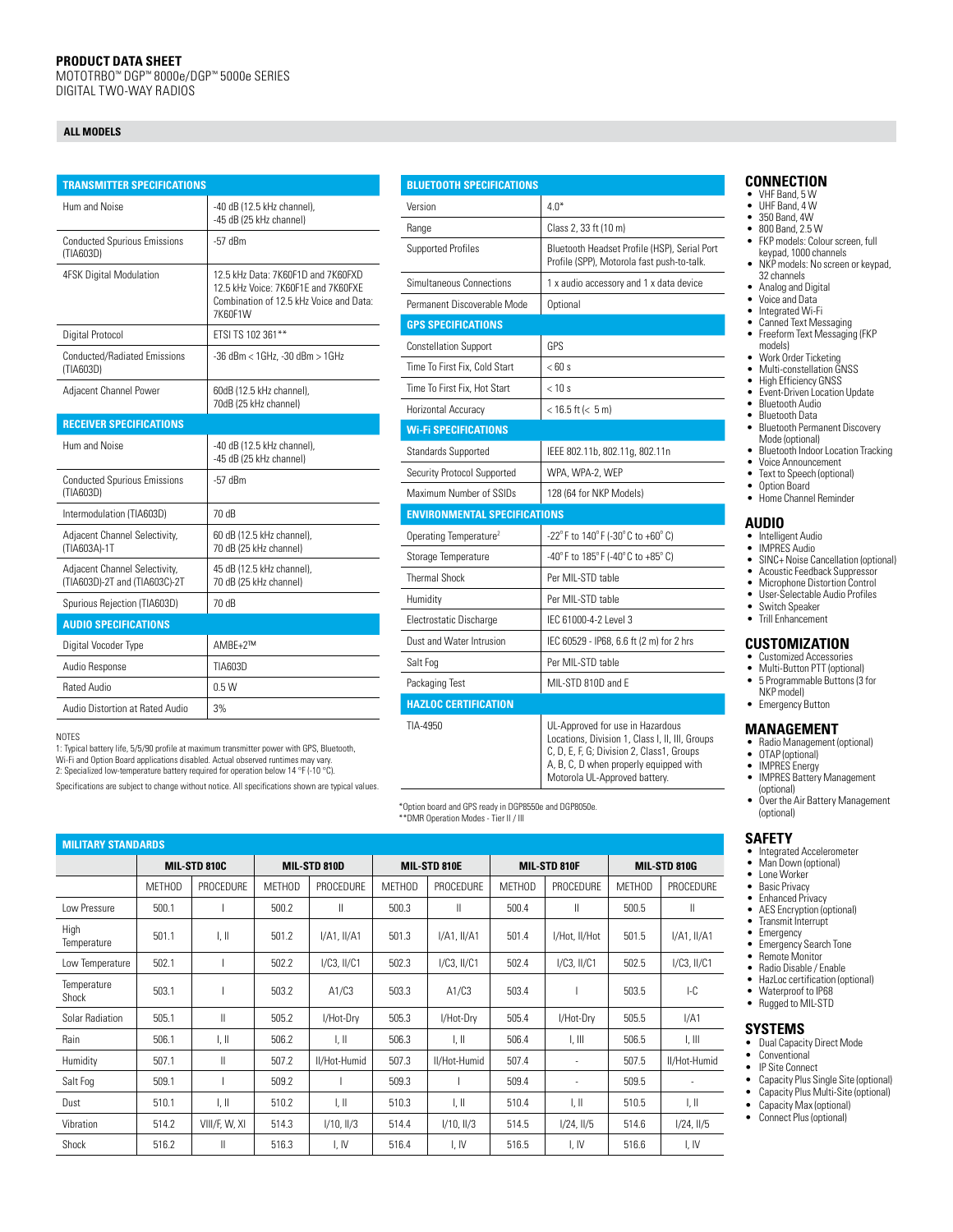#### **PRODUCT DATA SHEET**

MOTOTRBO™ DGP™ 8000e/DGP™ 5000e SERIES DIGITAL TWO-WAY RADIOS

#### **ALL MODELS**

| <b>TRANSMITTER SPECIFICATIONS</b>                              |                                                                                                                                 |  |  |  |  |
|----------------------------------------------------------------|---------------------------------------------------------------------------------------------------------------------------------|--|--|--|--|
| Hum and Noise                                                  | -40 dB (12.5 kHz channel),<br>-45 dB (25 kHz channel)                                                                           |  |  |  |  |
| <b>Conducted Spurious Emissions</b><br>(TIA603D)               | -57 dBm                                                                                                                         |  |  |  |  |
| <b>4FSK Digital Modulation</b>                                 | 12.5 kHz Data: 7K60F1D and 7K60FXD<br>12.5 kHz Voice: 7K60F1F and 7K60FXF<br>Combination of 12.5 kHz Voice and Data:<br>7K60F1W |  |  |  |  |
| Digital Protocol                                               | FTSI TS 102 361**                                                                                                               |  |  |  |  |
| <b>Conducted/Radiated Emissions</b><br>(TIA603D)               | -36 dBm < 1GHz, -30 dBm > 1GHz                                                                                                  |  |  |  |  |
| Adjacent Channel Power                                         | 60dB (12.5 kHz channel),<br>70dB (25 kHz channel)                                                                               |  |  |  |  |
| <b>RECEIVER SPECIFICATIONS</b>                                 |                                                                                                                                 |  |  |  |  |
| Hum and Noise                                                  | -40 dB (12.5 kHz channel),<br>-45 dB (25 kHz channel)                                                                           |  |  |  |  |
| <b>Conducted Spurious Emissions</b><br>(TIA603D)               | $-57$ dBm                                                                                                                       |  |  |  |  |
| Intermodulation (TIA603D)                                      | 70 dB                                                                                                                           |  |  |  |  |
| Adjacent Channel Selectivity,<br>(TIA603A)-1T                  | 60 dB (12.5 kHz channel),<br>70 dB (25 kHz channel)                                                                             |  |  |  |  |
| Adjacent Channel Selectivity,<br>(TIA603D)-2T and (TIA603C)-2T | 45 dB (12.5 kHz channel),<br>70 dB (25 kHz channel)                                                                             |  |  |  |  |
| Spurious Rejection (TIA603D)                                   | 70 dB                                                                                                                           |  |  |  |  |
| <b>AUDIO SPECIFICATIONS</b>                                    |                                                                                                                                 |  |  |  |  |
| Digital Vocoder Type                                           | AMBF+2™                                                                                                                         |  |  |  |  |
| Audio Response                                                 | TIA603D                                                                                                                         |  |  |  |  |
| Rated Audio                                                    | 0.5W                                                                                                                            |  |  |  |  |
| Audio Distortion at Rated Audio                                | 3%                                                                                                                              |  |  |  |  |

NOTES

1: Typical battery life, 5/5/90 profile at maximum transmitter power with GPS, Bluetooth, Wi-Fi and Option Board applications disabled. Actual observed runtimes may vary. 2: Specialized low-temperature battery required for operation below 14 °F (-10 °C).

Specifications are subject to change without notice. All

| <b>BLUETOOTH SPECIFICATIONS</b>     |                                                                                                                                  |  |  |  |  |  |
|-------------------------------------|----------------------------------------------------------------------------------------------------------------------------------|--|--|--|--|--|
| Version                             | $4.0*$                                                                                                                           |  |  |  |  |  |
| Range                               | Class 2, 33 ft (10 m)                                                                                                            |  |  |  |  |  |
| <b>Supported Profiles</b>           | Bluetooth Headset Profile (HSP), Serial Port<br>Profile (SPP), Motorola fast push-to-talk.                                       |  |  |  |  |  |
| Simultaneous Connections            | 1 x audio accessory and 1 x data device                                                                                          |  |  |  |  |  |
| Permanent Discoverable Mode         | Optional                                                                                                                         |  |  |  |  |  |
| <b>GPS SPECIFICATIONS</b>           |                                                                                                                                  |  |  |  |  |  |
| <b>Constellation Support</b>        | GPS                                                                                                                              |  |  |  |  |  |
| Time To First Fix, Cold Start       | $<$ 60 s                                                                                                                         |  |  |  |  |  |
| Time To First Fix. Hot Start        | < 10 s                                                                                                                           |  |  |  |  |  |
| Horizontal Accuracy                 | $<$ 16.5 ft ( $<$ 5 m)                                                                                                           |  |  |  |  |  |
| <b>Wi-Fi SPECIFICATIONS</b>         |                                                                                                                                  |  |  |  |  |  |
| <b>Standards Supported</b>          | IEEE 802.11b, 802.11g, 802.11n                                                                                                   |  |  |  |  |  |
| Security Protocol Supported         | WPA, WPA-2, WEP                                                                                                                  |  |  |  |  |  |
| Maximum Number of SSIDs             | 128 (64 for NKP Models)                                                                                                          |  |  |  |  |  |
| <b>ENVIRONMENTAL SPECIFICATIONS</b> |                                                                                                                                  |  |  |  |  |  |
| Operating Temperature <sup>2</sup>  | -22°F to 140°F (-30°C to +60°C)                                                                                                  |  |  |  |  |  |
| Storage Temperature                 | -40°F to 185°F (-40°C to +85°C)                                                                                                  |  |  |  |  |  |
| <b>Thermal Shock</b>                | Per MIL-STD table                                                                                                                |  |  |  |  |  |
| Humidity                            | Per MII -STD table                                                                                                               |  |  |  |  |  |
| Electrostatic Discharge             | IFC 61000-4-2 Level 3                                                                                                            |  |  |  |  |  |
| Dust and Water Intrusion            | IEC 60529 - IP68, 6.6 ft (2 m) for 2 hrs                                                                                         |  |  |  |  |  |
| Salt Fog                            | Per MII-STD table                                                                                                                |  |  |  |  |  |
| Packaging Test                      | MIL-STD 810D and E                                                                                                               |  |  |  |  |  |
| <b>HAZLOC CERTIFICATION</b>         |                                                                                                                                  |  |  |  |  |  |
| TIA-4950                            | UL-Approved for use in Hazardous<br>Locations, Division 1, Class I, II, III, Groups<br>C, D, E, F, G; Division 2, Class1, Groups |  |  |  |  |  |

GPS ready in DGP8550e and DGP8050e.

| <b>MILITARY STANDARDS</b> |               |                           |               |                  |               |                           |               |                           |               |                           |
|---------------------------|---------------|---------------------------|---------------|------------------|---------------|---------------------------|---------------|---------------------------|---------------|---------------------------|
|                           | MIL-STD 810C  |                           | MIL-STD 810D  |                  | MIL-STD 810E  |                           | MIL-STD 810F  |                           | MIL-STD 810G  |                           |
|                           | <b>METHOD</b> | <b>PROCEDURE</b>          | <b>METHOD</b> | <b>PROCEDURE</b> | <b>METHOD</b> | PROCEDURE                 | <b>METHOD</b> | <b>PROCEDURE</b>          | <b>METHOD</b> | PROCEDURE                 |
| Low Pressure              | 500.1         |                           | 500.2         | Ш                | 500.3         | Ш                         | 500.4         | Ш                         | 500.5         | Ш                         |
| High<br>Temperature       | 501.1         | $\parallel$ , $\parallel$ | 501.2         | I/A1, II/A1      | 501.3         | $I/A1$ , $II/A1$          | 501.4         | I/Hot, II/Hot             | 501.5         | I/A1, II/A1               |
| Low Temperature           | 502.1         |                           | 502.2         | $I/C3$ , $II/C1$ | 502.3         | $I/C3$ , $II/C1$          | 502.4         | $I/C3$ , $II/C1$          | 502.5         | $I/C3$ , $II/C1$          |
| Temperature<br>Shock      | 503.1         |                           | 503.2         | A1/C3            | 503.3         | A1/C3                     | 503.4         |                           | 503.5         | $-C$                      |
| Solar Radiation           | 505.1         | Ш                         | 505.2         | I/Hot-Dry        | 505.3         | I/Hot-Drv                 | 505.4         | I/Hot-Drv                 | 505.5         | I/A1                      |
| Rain                      | 506.1         | I, II                     | 506.2         | I, II            | 506.3         | $\parallel$ , $\parallel$ | 506.4         | $\parallel$ , $\parallel$ | 506.5         | I, III                    |
| Humidity                  | 507.1         | Ш                         | 507.2         | II/Hot-Humid     | 507.3         | II/Hot-Humid              | 507.4         | ٠                         | 507.5         | II/Hot-Humid              |
| Salt Fog                  | 509.1         |                           | 509.2         |                  | 509.3         |                           | 509.4         | ٠                         | 509.5         |                           |
| Dust                      | 510.1         | I, II                     | 510.2         | I, II            | 510.3         | $\parallel$ , $\parallel$ | 510.4         | $\parallel$ , $\parallel$ | 510.5         | $\parallel$ , $\parallel$ |
| Vibration                 | 514.2         | VIII/F, W, XI             | 514.3         | $1/10$ , $11/3$  | 514.4         | $1/10$ , $11/3$           | 514.5         | $1/24$ , $11/5$           | 514.6         | $1/24$ , $11/5$           |
| Shock                     | 516.2         | Ш                         | 516.3         | I, IV            | 516.4         | I, IV                     | 516.5         | I, IV                     | 516.6         | I, IV                     |

#### **CONNECTION**

- VHF Band, 5 W
- UHF Band, 4 W • 350 Band, 4W
- 800 Band, 2.5 W
- FKP models: Colourscreen, full keypad, 1000 channels
- NKP models: No screen or keypad, 32 channels
- Analog and Digital
- Voice and Data
- Integrated Wi-Fi
- Canned Text Messaging Freeform Text Messaging (FKP models)
- 
- Work Order Ticketing Multi-constellation GNSS
- High Efficiency GNSS
- Event-Driven Location Update
- Bluetooth Audio
- Bluetooth Data
- Bluetooth Permanent Discovery Mode (optional)
- Bluetooth Indoor Location Tracking<br>• Voice Announcement • Voice Announcement
- 
- Text to Speech (optional)<br>• Ontion Board • Option Board
- Home Channel Reminder

#### **AUDIO**

- 
- Intelligent Audio IMPRES Audio
- SINC+ Noise Cancellation (optional)
- Acoustic Feedback Suppressor • Microphone Distortion Control
- User-Selectable Audio Profiles
- Switch Speaker
- Trill Enhancement

### **CUSTOMIZATION**

- Customized Accessories
- Multi-Button PTT (optional)
- 5 Programmable Buttons (3 for NKP model)
- Emergency Button

#### **MANAGEMENT**

- Radio Management (optional)
- OTAP (optional)
- IMPRES Energy • IMPRES Battery Management (optional)
- Over the Air Battery Management (optional)

#### **SAFETY**

- Integrated Accelerometer Man Down (optional)
- Lone Worker
- Basic Privacy
- 
- Enhanced Privacy
- AES Encryption (optional) Transmit Interrupt
- Emergency
- Emergency Search Tone
- Remote Monitor • Radio Disable / Enable
- HazLoc certification (optional)
- Waterproof to IP68
- Rugged to MIL-STD

#### **SYSTEMS**

- Dual Capacity Direct Mode
- Conventional
- IP Site Connect
- Capacity Plus Single Site (optional)<br>• Capacity Plus Multi-Site (optional) • Capacity Plus Multi-Site (optional)<br>• Capacity Max (optional)
- Capacity Max (optional)
- Connect Plus (optional)

| specifications shown are typical values. |                     |
|------------------------------------------|---------------------|
|                                          | *Option board and 0 |
|                                          | **DMR Operation N   |

\*\*DMR Operation Modes - Tier II / III

A, B, C, D when properly equipped with Motorola UL-Approved battery.